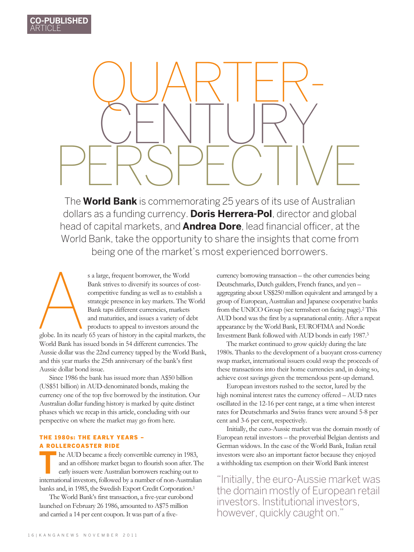QUARTER-CENTURY perspective

The **World Bank** is commemorating 25 years of its use of Australian dollars as a funding currency. **Doris Herrera-Pol**, director and global head of capital markets, and **Andrea Dore**, lead financial officer, at the World Bank, take the opportunity to share the insights that come from being one of the market's most experienced borrowers.

s a large, frequent borrower, the World<br>Bank strives to diversify its sources of c<br>competitive funding as well as to establist<br>rategic presence in key markets. The V<br>Bank taps different currencies, markets<br>and maturities, Bank strives to diversify its sources of costcompetitive funding as well as to establish a strategic presence in key markets. The World Bank taps different currencies, markets and maturities, and issues a variety of debt products to appeal to investors around the globe. In its nearly 65 years of history in the capital markets, the World Bank has issued bonds in 54 different currencies. The Aussie dollar was the 22nd currency tapped by the World Bank, and this year marks the 25th anniversary of the bank's first

Aussie dollar bond issue. Since 1986 the bank has issued more than A\$50 billion (US\$51 billion) in AUD-denominated bonds, making the currency one of the top five borrowed by the institution. Our Australian dollar funding history is marked by quite distinct

phases which we recap in this article, concluding with our perspective on where the market may go from here.

## The 1980s: the early years – a rollercoaster ride

**he AUD became a freely convertible currency in 1983,** and an offshore market began to flourish soon after. The early issuers were Australian borrowers reaching out to international investors, followed by a number of non-Australian banks and, in 1985, the Swedish Export Credit Corporation.1

The World Bank's first transaction, a five-year eurobond launched on February 26 1986, amounted to A\$75 million and carried a 14 per cent coupon. It was part of a fivecurrency borrowing transaction – the other currencies being Deutschmarks, Dutch guilders, French francs, and yen – aggregating about US\$250 million equivalent and arranged by a group of European, Australian and Japanese cooperative banks from the UNICO Group (see termsheet on facing page).2 This AUD bond was the first by a supranational entity. After a repeat appearance by the World Bank, EUROFIMA and Nordic Investment Bank followed with AUD bonds in early 1987.3

The market continued to grow quickly during the late 1980s. Thanks to the development of a buoyant cross-currency swap market, international issuers could swap the proceeds of these transactions into their home currencies and, in doing so, achieve cost savings given the tremendous pent-up demand.

European investors rushed to the sector, lured by the high nominal interest rates the currency offered – AUD rates oscillated in the 12-16 per cent range, at a time when interest rates for Deutschmarks and Swiss francs were around 5-8 per cent and 3-6 per cent, respectively.

Initially, the euro-Aussie market was the domain mostly of European retail investors – the proverbial Belgian dentists and German widows. In the case of the World Bank, Italian retail investors were also an important factor because they enjoyed a withholding tax exemption on their World Bank interest

"Initially, the euro-Aussie market was the domain mostly of European retail investors. Institutional investors, however, quickly caught on."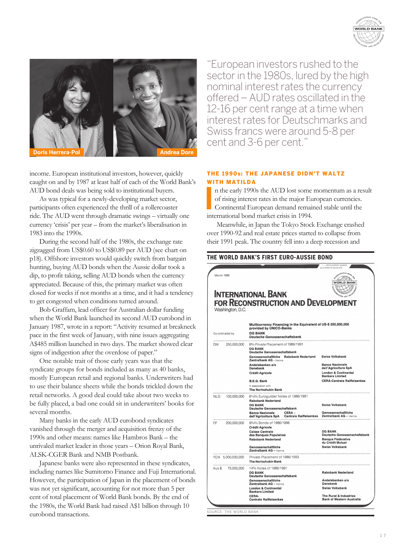



income. European institutional investors, however, quickly caught on and by 1987 at least half of each of the World Bank's

AUD bond deals was being sold to institutional buyers. As was typical for a newly-developing market sector, participants often experienced the thrill of a rollercoaster ride. The AUD went through dramatic swings – virtually one currency 'crisis' per year – from the market's liberalisation in 1983 into the 1990s.

During the second half of the 1980s, the exchange rate zigzagged from US\$0.60 to US\$0.89 per AUD (see chart on p18). Offshore investors would quickly switch from bargain hunting, buying AUD bonds when the Aussie dollar took a dip, to profit taking, selling AUD bonds when the currency appreciated. Because of this, the primary market was often closed for weeks if not months at a time, and it had a tendency to get congested when conditions turned around.

Bob Graffam, lead officer for Australian dollar funding when the World Bank launched its second AUD eurobond in January 1987, wrote in a report: "Activity resumed at breakneck pace in the first week of January, with nine issues aggregating A\$485 million launched in two days. The market showed clear signs of indigestion after the overdose of paper."

One notable trait of those early years was that the syndicate groups for bonds included as many as 40 banks, mostly European retail and regional banks. Underwriters had to use their balance sheets while the bonds trickled down the retail networks. A good deal could take about two weeks to be fully placed, a bad one could sit in underwriters' books for several months.

Many banks in the early AUD eurobond syndicates vanished through the merger and acquisition frenzy of the 1990s and other means: names like Hambros Bank – the unrivaled market leader in those years – Orion Royal Bank, ALSK-CGER Bank and NMB Postbank.

Japanese banks were also represented in these syndicates, including names like Sumitomo Finance and Fuji International. However, the participation of Japan in the placement of bonds was not yet significant, accounting for not more than 5 per cent of total placement of World Bank bonds. By the end of the 1980s, the World Bank had raised A\$1 billion through 10 eurobond transactions.

"European investors rushed to the sector in the 1980s, lured by the high nominal interest rates the currency offered – AUD rates oscillated in the 12-16 per cent range at a time when interest rates for Deutschmarks and Swiss francs were around 5-8 per cent and 3-6 per cent."

## The 1990s: the Japanese didn't waltz WITH MATILDA

**I** n the early 1990s the AUD lost some momentum as a result of rising interest rates in the major European currencies. Continental European demand remained stable until the international bond market crisis in 1994.

Meanwhile, in Japan the Tokyo Stock Exchange crashed over 1990-92 and real estate prices started to collapse from their 1991 peak. The country fell into a deep recession and

|                 |                       | THE WORLD BANK'S FIRST EURO-AUSSIE BOND                                                                                                     | icus announcement appears                                                                                              |
|-----------------|-----------------------|---------------------------------------------------------------------------------------------------------------------------------------------|------------------------------------------------------------------------------------------------------------------------|
| March 1986      | Washington, D.C.      | <b>INTERNATIONAL BANK</b><br>FOR RECONSTRUCTION AND DEVELOPMENT                                                                             | as a matter of record only<br>STERNATIONAL BANK<br>Corr <sup>e</sup><br><b>WORLD BANK</b><br><b>SAUCTION AND DRYRY</b> |
| Co-ordinated by |                       | Multicurrency Financing in the Equivalent of US-\$ 250,000,000<br>provided by UNICO-Banks<br><b>DG BANK</b><br>Deutsche Genossenschaftsbank |                                                                                                                        |
| DM.             | <br>250.000.000       | 6% Private Placement of 1986/1991<br><b>DG BANK</b><br><b>Deutsche Genossenschaftsbank</b>                                                  |                                                                                                                        |
|                 |                       | Genossenschaftliche Rabobank Nederland<br>Zentralbank AG - Vienna<br>Andelsbanken a/s                                                       | <b>Swiss Volksbank</b><br><b>Banca Nazionale</b>                                                                       |
|                 |                       | <b>Danebank</b><br>Crédit Agricole                                                                                                          | dell'Agricoltura SpA<br><b>London &amp; Continental</b><br><b>Bankers Limited</b>                                      |
|                 |                       | <b>B.E.G. Bank</b>                                                                                                                          | <b>CERA-Centrale Raiffeisenkas</b>                                                                                     |
|                 |                       | In association with<br><b>The Norinchukin Bank</b>                                                                                          |                                                                                                                        |
| NLG             | 100,000,000           | 61/4% Euroguilder Notes of 1986/1991<br><b>Rabobank Nederland</b>                                                                           |                                                                                                                        |
|                 |                       | <b>DG BANK</b><br><b>Deutsche Genossenschaftsbank</b>                                                                                       | <b>Swiss Volksbank</b>                                                                                                 |
|                 |                       | CERA-<br><b>Banca Nazionale</b><br>dell'Agricoltura SpA Centrale Raiffeisenkas Zentralbank AG - Vienna                                      | Genossenschaftliche                                                                                                    |
| FF              | 200,000,000           | 93/4% Bonds of 1986/1996                                                                                                                    |                                                                                                                        |
|                 |                       | <b>Crédit Agricole</b><br><b>Caisse Centrale</b>                                                                                            | <b>DG BANK</b>                                                                                                         |
|                 |                       | des Banques Populaires<br><b>Rabobank Nederland</b>                                                                                         | <b>Deutsche Genossenschaftsbank</b><br><b>Banque Fédérative</b><br>du Crédit Mutuel                                    |
|                 |                       | Genossenschaftliche<br>Zentralbank AG - Vienna                                                                                              | <b>Swiss Volksbank</b>                                                                                                 |
|                 | YEN 5,000,000,000<br> | Private Placement of 1986/1993<br><b>The Norinchukin Bank</b>                                                                               |                                                                                                                        |
|                 | Aus \$75,000,000      | 14% Notes of 1986/1991<br><b>DG BANK</b>                                                                                                    | <b>Rabobank Nederland</b>                                                                                              |
|                 |                       | <b>Deutsche Genossenschaftsbank</b><br>Genossenschaftliche                                                                                  | Andelsbanken a/s                                                                                                       |
|                 |                       | Zentralbank AG - Vienna<br><b>London &amp; Continental</b>                                                                                  | Danebank<br><b>Swiss Volksbank</b>                                                                                     |
|                 |                       | <b>Bankers Limited</b><br>CERA-                                                                                                             | The Rural & Industries                                                                                                 |
|                 |                       | <b>Centrale Raiffelsenkas</b>                                                                                                               | <b>Bank of Western Australia</b>                                                                                       |

Source: the world bank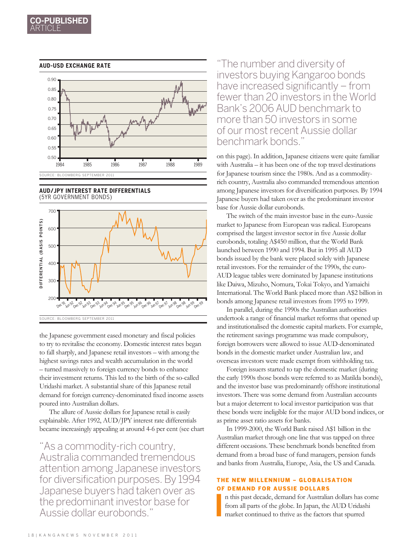

#### **AUD-USD EXCHANGE RATE**

**AUD/JPY INTEREST RATE DIFFERENTIALS**  (5YR government bonds)



the Japanese government eased monetary and fiscal policies to try to revitalise the economy. Domestic interest rates began to fall sharply, and Japanese retail investors – with among the highest savings rates and wealth accumulation in the world – turned massively to foreign currency bonds to enhance their investment returns. This led to the birth of the so-called Uridashi market. A substantial share of this Japanese retail demand for foreign currency-denominated fixed income assets poured into Australian dollars.

The allure of Aussie dollars for Japanese retail is easily explainable. After 1992, AUD/JPY interest rate differentials became increasingly appealing at around 4-6 per cent (see chart

"As a commodity-rich country, Australia commanded tremendous attention among Japanese investors for diversification purposes. By 1994 Japanese buyers had taken over as the predominant investor base for Aussie dollar eurobonds."

"The number and diversity of investors buying Kangaroo bonds have increased significantly – from fewer than 20 investors in the World Bank's 2006 AUD benchmark to more than 50 investors in some of our most recent Aussie dollar benchmark bonds."

on this page). In addition, Japanese citizens were quite familiar with Australia – it has been one of the top travel destinations for Japanese tourism since the 1980s. And as a commodityrich country, Australia also commanded tremendous attention among Japanese investors for diversification purposes. By 1994 Japanese buyers had taken over as the predominant investor base for Aussie dollar eurobonds.

The switch of the main investor base in the euro-Aussie market to Japanese from European was radical. Europeans comprised the largest investor sector in five Aussie dollar eurobonds, totaling A\$450 million, that the World Bank launched between 1990 and 1994. But in 1995 all AUD bonds issued by the bank were placed solely with Japanese retail investors. For the remainder of the 1990s, the euro-AUD league tables were dominated by Japanese institutions like Daiwa, Mizuho, Nomura, Tokai Tokyo, and Yamaichi International. The World Bank placed more than A\$2 billion in bonds among Japanese retail investors from 1995 to 1999.

In parallel, during the 1990s the Australian authorities undertook a range of financial market reforms that opened up and institutionalised the domestic capital markets. For example, the retirement savings programme was made compulsory, foreign borrowers were allowed to issue AUD-denominated bonds in the domestic market under Australian law, and overseas investors were made exempt from withholding tax.

Foreign issuers started to tap the domestic market (during the early 1990s those bonds were referred to as Matilda bonds), and the investor base was predominantly offshore institutional investors. There was some demand from Australian accounts but a major deterrent to local investor participation was that these bonds were ineligible for the major AUD bond indices, or as prime asset ratio assets for banks.

In 1999-2000, the World Bank raised A\$1 billion in the Australian market through one line that was tapped on three different occasions. These benchmark bonds benefited from demand from a broad base of fund managers, pension funds and banks from Australia, Europe, Asia, the US and Canada.

## The new millennium – globalisation of demand for Aussie dollars

**I** n this past decade, demand for Australian dollars has come from all parts of the globe. In Japan, the AUD Uridashi market continued to thrive as the factors that spurred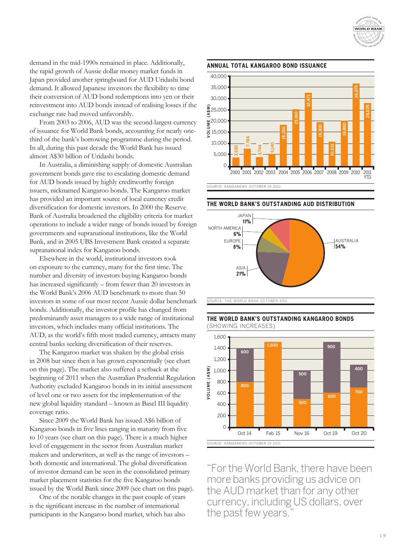

demand in the mid-1990s remained in place. Additionally, the rapid growth of Aussie dollar money market funds in Japan provided another springboard for AUD Uridashi bond demand. It allowed Japanese investors the flexibility to time their conversion of AUD bond redemptions into yen or their reinvestment into AUD bonds instead of realising losses if the exchange rate had moved unfavorably.

From 2003 to 2006, AUD was the second-largest currency of issuance for World Bank bonds, accounting for nearly onethird of the bank's borrowing programme during the period. In all, during this past decade the World Bank has issued almost A\$30 billion of Uridashi bonds.

In Australia, a diminishing supply of domestic Australian government bonds gave rise to escalating domestic demand for AUD bonds issued by highly creditworthy foreign issuers, nicknamed Kangaroo bonds. The Kangaroo market has provided an important source of local currency credit diversification for domestic investors. In 2000 the Reserve Bank of Australia broadened the eligibility criteria for market operations to include a wider range of bonds issued by foreign governments and supranational institutions, like the World Bank, and in 2005 UBS Investment Bank created a separate supranational index for Kangaroo bonds.

Elsewhere in the world, institutional investors took on exposure to the currency, many for the first time. The number and diversity of investors buying Kangaroo bonds has increased significantly – from fewer than 20 investors in the World Bank's 2006 AUD benchmark to more than 50 investors in some of our most recent Aussie dollar benchmark bonds. Additionally, the investor profile has changed from predominantly asset managers to a wide range of institutional investors, which includes many official institutions. The AUD, as the world's fifth most traded currency, attracts many central banks seeking diversification of their reserves.

The Kangaroo market was shaken by the global crisis in 2008 but since then it has grown exponentially (see chart on this page). The market also suffered a setback at the beginning of 2011 when the Australian Prudential Regulation Authority excluded Kangaroo bonds in its initial assessment of level one or two assets for the implementation of the new global liquidity standard – known as Basel III liquidity coverage ratio.

Since 2009 the World Bank has issued A\$6 billion of Kangaroo bonds in five lines ranging in maturity from five to 10 years (see chart on this page). There is a much higher level of engagement in the sector from Australian market makers and underwriters, as well as the range of investors – both domestic and international. The global diversification of investor demand can be seen in the consolidated primary market placement statistics for the five Kangaroo bonds issued by the World Bank since 2009 (see chart on this page).

One of the notable changes in the past couple of years is the significant increase in the number of international participants in the Kangaroo bond market, which has also

#### **annual total Kangaroo bond issuance**



**the World Bank's Outstanding Aud Distribution**



SOURCE: THE WORLD BANK OCTOBER 201





"For the World Bank, there have been more banks providing us advice on the AUD market than for any other currency, including US dollars, over the past few years.